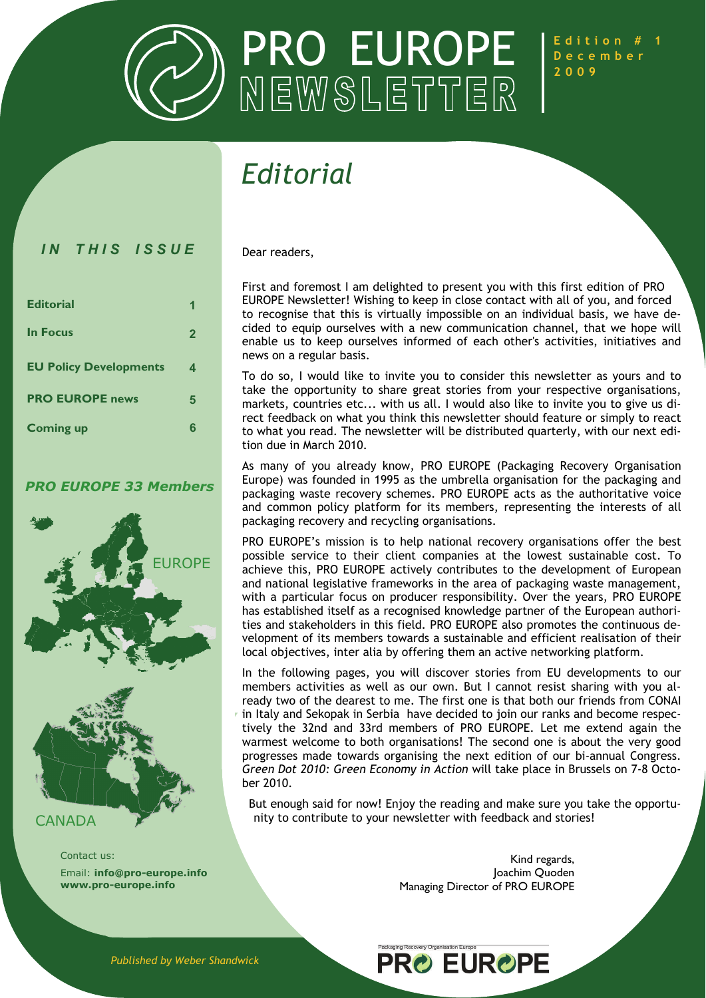

**Edition # 1** 

### *Editorial*

#### *IN THIS ISSUE*

| <b>Editorial</b>              | 1            |
|-------------------------------|--------------|
| <b>In Focus</b>               | $\mathbf{2}$ |
| <b>EU Policy Developments</b> | 4            |
| <b>PRO EUROPE news</b>        | 5            |
| <b>Coming up</b>              | 6            |

#### *PRO EUROPE 33 Members*



#### CANADA

Contact us: Email: **info@pro-europe.info www.pro-europe.info**

Dear readers,

First and foremost I am delighted to present you with this first edition of PRO EUROPE Newsletter! Wishing to keep in close contact with all of you, and forced to recognise that this is virtually impossible on an individual basis, we have decided to equip ourselves with a new communication channel, that we hope will enable us to keep ourselves informed of each other's activities, initiatives and news on a regular basis.

To do so, I would like to invite you to consider this newsletter as yours and to take the opportunity to share great stories from your respective organisations, markets, countries etc... with us all. I would also like to invite you to give us direct feedback on what you think this newsletter should feature or simply to react to what you read. The newsletter will be distributed quarterly, with our next edition due in March 2010.

As many of you already know, PRO EUROPE (Packaging Recovery Organisation Europe) was founded in 1995 as the umbrella organisation for the packaging and packaging waste recovery schemes. PRO EUROPE acts as the authoritative voice and common policy platform for its members, representing the interests of all packaging recovery and recycling organisations.

PRO EUROPE's mission is to help national recovery organisations offer the best possible service to their client companies at the lowest sustainable cost. To achieve this, PRO EUROPE actively contributes to the development of European and national legislative frameworks in the area of packaging waste management, with a particular focus on producer responsibility. Over the years, PRO EUROPE has established itself as a recognised knowledge partner of the European authorities and stakeholders in this field. PRO EUROPE also promotes the continuous development of its members towards a sustainable and efficient realisation of their local objectives, inter alia by offering them an active networking platform.

In the following pages, you will discover stories from EU developments to our members activities as well as our own. But I cannot resist sharing with you already two of the dearest to me. The first one is that both our friends from CONAI in Italy and Sekopak in Serbia have decided to join our ranks and become respectively the 32nd and 33rd members of PRO EUROPE. Let me extend again the warmest welcome to both organisations! The second one is about the very good progresses made towards organising the next edition of our bi-annual Congress. *Green Dot 2010: Green Economy in Action* will take place in Brussels on 7-8 October 2010.

But enough said for now! Enjoy the reading and make sure you take the opportunity to contribute to your newsletter with feedback and stories!

**PRO EUROPE** 

Packaging Recovery Organisation Europe

Kind regards, Joachim Quoden Managing Director of PRO EUROPE

*Published by Weber Shandwick*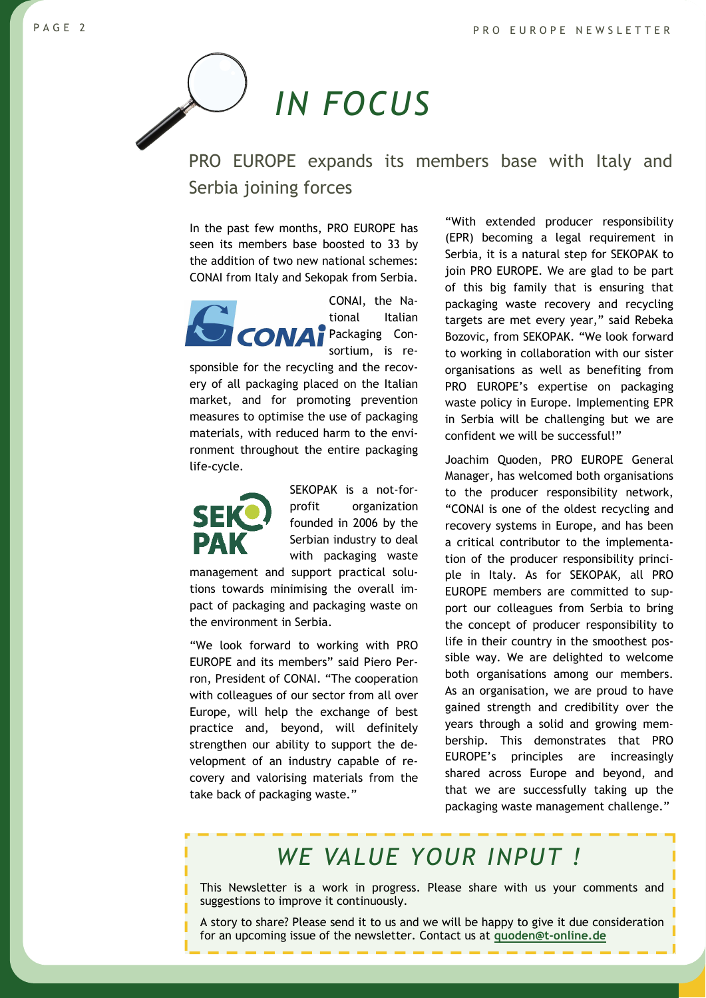# <span id="page-1-0"></span>*IN FOCUS*

PRO EUROPE expands its members base with Italy and Serbia joining forces

In the past few months, PRO EUROPE has seen its members base boosted to 33 by the addition of two new national schemes: CONAI from Italy and Sekopak from Serbia.



CONAI, the National Italian Packaging Consortium, is re-

sponsible for the recycling and the recovery of all packaging placed on the Italian market, and for promoting prevention measures to optimise the use of packaging materials, with reduced harm to the environment throughout the entire packaging life-cycle.



SEKOPAK is a not-forprofit organization founded in 2006 by the Serbian industry to deal with packaging waste

management and support practical solutions towards minimising the overall impact of packaging and packaging waste on the environment in Serbia.

"We look forward to working with PRO EUROPE and its members" said Piero Perron, President of CONAI. "The cooperation with colleagues of our sector from all over Europe, will help the exchange of best practice and, beyond, will definitely strengthen our ability to support the development of an industry capable of recovery and valorising materials from the take back of packaging waste."

"With extended producer responsibility (EPR) becoming a legal requirement in Serbia, it is a natural step for SEKOPAK to join PRO EUROPE. We are glad to be part of this big family that is ensuring that packaging waste recovery and recycling targets are met every year," said Rebeka Bozovic, from SEKOPAK. "We look forward to working in collaboration with our sister organisations as well as benefiting from PRO EUROPE's expertise on packaging waste policy in Europe. Implementing EPR in Serbia will be challenging but we are confident we will be successful!"

Joachim Quoden, PRO EUROPE General Manager, has welcomed both organisations to the producer responsibility network, "CONAI is one of the oldest recycling and recovery systems in Europe, and has been a critical contributor to the implementation of the producer responsibility principle in Italy. As for SEKOPAK, all PRO EUROPE members are committed to support our colleagues from Serbia to bring the concept of producer responsibility to life in their country in the smoothest possible way. We are delighted to welcome both organisations among our members. As an organisation, we are proud to have gained strength and credibility over the years through a solid and growing membership. This demonstrates that PRO EUROPE's principles are increasingly shared across Europe and beyond, and that we are successfully taking up the packaging waste management challenge."

### *WE VALUE YOUR INPUT !*

This Newsletter is a work in progress. Please share with us your comments and suggestions to improve it continuously.

A story to share? Please send it to us and we will be happy to give it due consideration for an upcoming issue of the newsletter. Contact us at **[quoden@t-online.de](mailto:quoden@t-online.de)**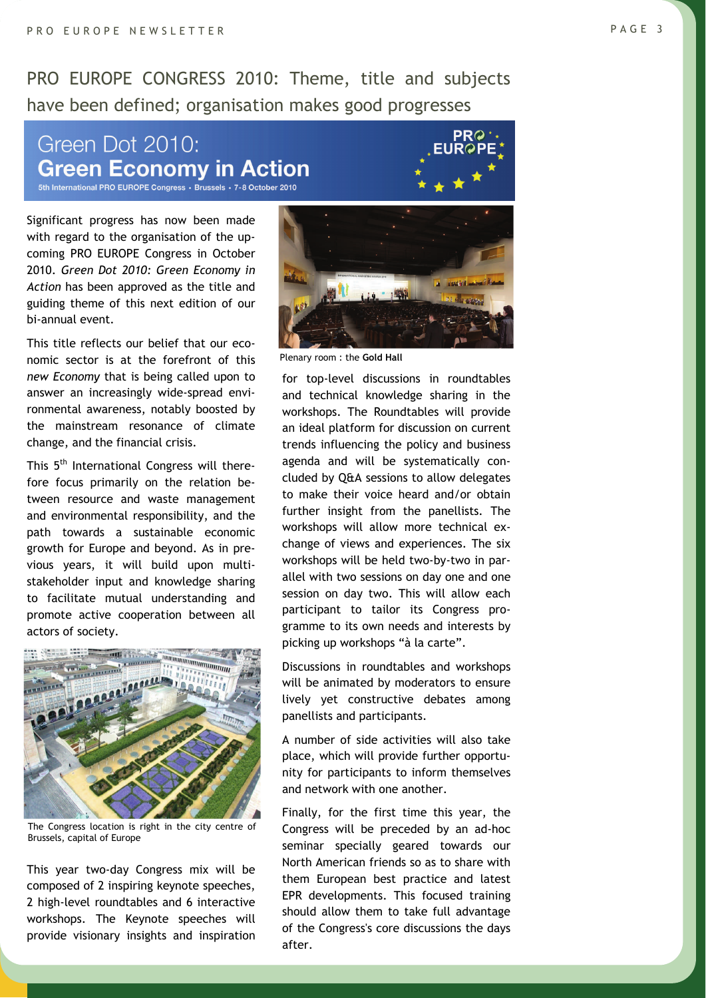PRO EUROPE CONGRESS 2010: Theme, title and subjects have been defined; organisation makes good progresses

#### Green Dot 2010: **Green Economy in Action** 5th International PRO EUROPE Congress · Brussels · 7-8 October 2010

Significant progress has now been made with regard to the organisation of the upcoming PRO EUROPE Congress in October 2010. *Green Dot 2010: Green Economy in Action* has been approved as the title and guiding theme of this next edition of our bi-annual event.

This title reflects our belief that our economic sector is at the forefront of this *new Economy* that is being called upon to answer an increasingly wide-spread environmental awareness, notably boosted by the mainstream resonance of climate change, and the financial crisis.

This 5<sup>th</sup> International Congress will therefore focus primarily on the relation between resource and waste management and environmental responsibility, and the path towards a sustainable economic growth for Europe and beyond. As in previous years, it will build upon multistakeholder input and knowledge sharing to facilitate mutual understanding and promote active cooperation between all actors of society.



The Congress location is right in the city centre of Brussels, capital of Europe

This year two-day Congress mix will be composed of 2 inspiring keynote speeches, 2 high-level roundtables and 6 interactive workshops. The Keynote speeches will provide visionary insights and inspiration



Plenary room : the **Gold Hall**

for top-level discussions in roundtables and technical knowledge sharing in the workshops. The Roundtables will provide an ideal platform for discussion on current trends influencing the policy and business agenda and will be systematically concluded by Q&A sessions to allow delegates to make their voice heard and/or obtain further insight from the panellists. The workshops will allow more technical exchange of views and experiences. The six workshops will be held two-by-two in parallel with two sessions on day one and one session on day two. This will allow each participant to tailor its Congress programme to its own needs and interests by picking up workshops "à la carte".

Discussions in roundtables and workshops will be animated by moderators to ensure lively yet constructive debates among panellists and participants.

A number of side activities will also take place, which will provide further opportunity for participants to inform themselves and network with one another.

Finally, for the first time this year, the Congress will be preceded by an ad-hoc seminar specially geared towards our North American friends so as to share with them European best practice and latest EPR developments. This focused training should allow them to take full advantage of the Congress's core discussions the days after.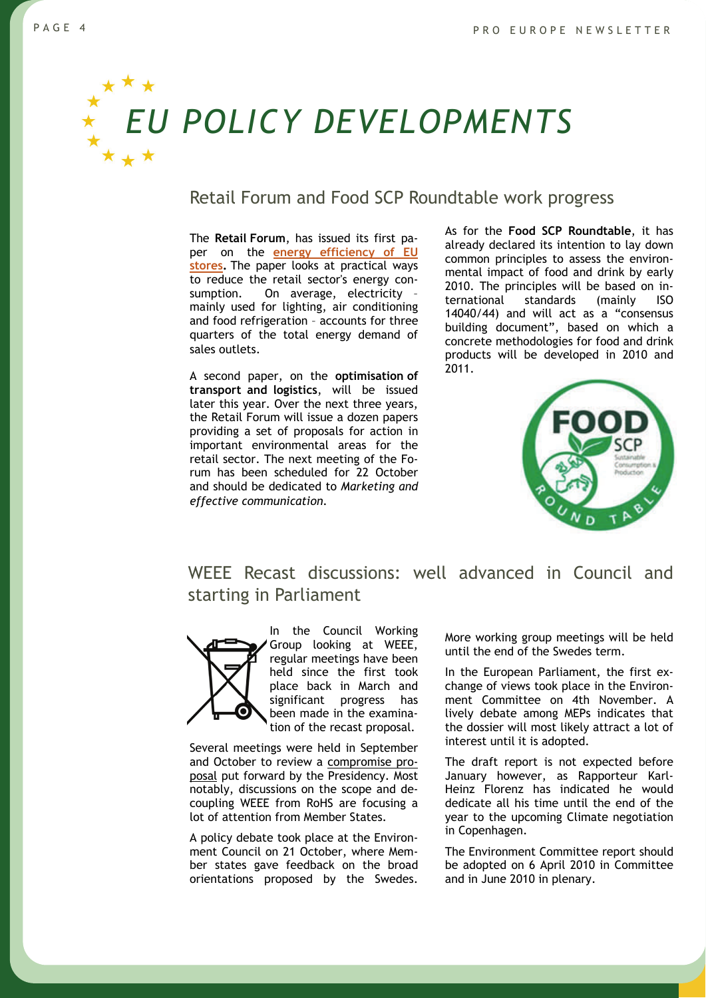<span id="page-3-0"></span>

#### Retail Forum and Food SCP Roundtable work progress

The **Retail Forum**, has issued its first paper on the **[energy efficiency of EU](http://ec.europa.eu/environment/industry/retail/pdf/Issue%20paper_Energy%20Efficiency.pdf)  [stores](http://ec.europa.eu/environment/industry/retail/pdf/Issue%20paper_Energy%20Efficiency.pdf).** The paper looks at practical ways to reduce the retail sector's energy consumption. On average, electricity – mainly used for lighting, air conditioning and food refrigeration – accounts for three quarters of the total energy demand of sales outlets.

A second paper, on the **optimisation of transport and logistics**, will be issued later this year. Over the next three years, the Retail Forum will issue a dozen papers providing a set of proposals for action in important environmental areas for the retail sector. The next meeting of the Forum has been scheduled for 22 October and should be dedicated to *Marketing and effective communication*.

As for the **Food SCP Roundtable**, it has already declared its intention to lay down common principles to assess the environmental impact of food and drink by early 2010. The principles will be based on international standards (mainly ISO 14040/44) and will act as a "consensus building document", based on which a concrete methodologies for food and drink products will be developed in 2010 and 2011.



#### WEEE Recast discussions: well advanced in Council and starting in Parliament



In the Council Working Group looking at WEEE, regular meetings have been held since the first took place back in March and significant progress has been made in the examination of the recast proposal.

Several meetings were held in September and October to review a [compromise pro](http://register.consilium.europa.eu/pdf/en/09/st12/st12848.en09.pdf)[posal](http://register.consilium.europa.eu/pdf/en/09/st12/st12848.en09.pdf) put forward by the Presidency. Most notably, discussions on the scope and decoupling WEEE from RoHS are focusing a lot of attention from Member States.

A policy debate took place at the Environment Council on 21 October, where Member states gave feedback on the broad orientations proposed by the Swedes.

More working group meetings will be held until the end of the Swedes term.

In the European Parliament, the first exchange of views took place in the Environment Committee on 4th November. A lively debate among MEPs indicates that the dossier will most likely attract a lot of interest until it is adopted.

The draft report is not expected before January however, as Rapporteur Karl-Heinz Florenz has indicated he would dedicate all his time until the end of the year to the upcoming Climate negotiation in Copenhagen.

The Environment Committee report should be adopted on 6 April 2010 in Committee and in June 2010 in plenary.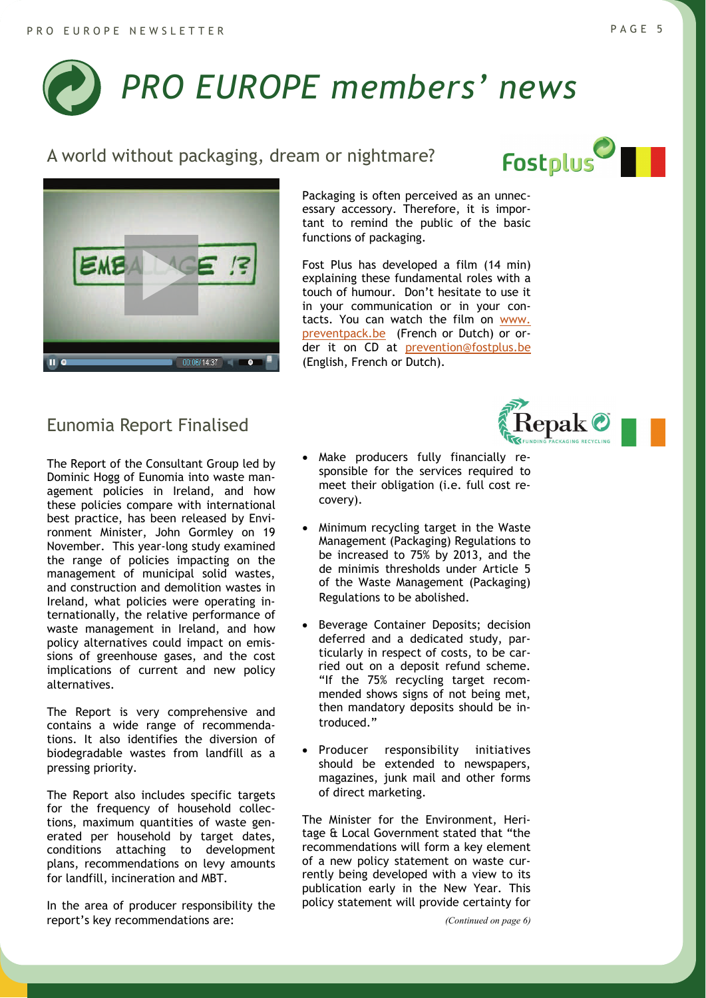# <span id="page-4-0"></span>*PRO EUROPE members' news*

#### A world without packaging, dream or nightmare?



#### Eunomia Report Finalised

The Report of the Consultant Group led by Dominic Hogg of Eunomia into waste management policies in Ireland, and how these policies compare with international best practice, has been released by Environment Minister, John Gormley on 19 November. This year-long study examined the range of policies impacting on the management of municipal solid wastes, and construction and demolition wastes in Ireland, what policies were operating internationally, the relative performance of waste management in Ireland, and how policy alternatives could impact on emissions of greenhouse gases, and the cost implications of current and new policy alternatives.

The Report is very comprehensive and contains a wide range of recommendations. It also identifies the diversion of biodegradable wastes from landfill as a pressing priority.

The Report also includes specific targets for the frequency of household collections, maximum quantities of waste generated per household by target dates, conditions attaching to development plans, recommendations on levy amounts for landfill, incineration and MBT.

In the area of producer responsibility the report's key recommendations are:

Packaging is often perceived as an unnecessary accessory. Therefore, it is important to remind the public of the basic functions of packaging.

Fost Plus has developed a film (14 min) explaining these fundamental roles with a touch of humour. Don't hesitate to use it in your communication or in your contacts. You can watch the film on [www.](http://www.preventpack.be/)  [preventpack.be](http://www.preventpack.be/) (French or Dutch) or order it on CD at [prevention@fostplus.be](mailto:prevention@fostplus.be) (English, French or Dutch).



- Minimum recycling target in the Waste Management (Packaging) Regulations to be increased to 75% by 2013, and the de minimis thresholds under Article 5 of the Waste Management (Packaging) Regulations to be abolished.
- Beverage Container Deposits; decision deferred and a dedicated study, particularly in respect of costs, to be carried out on a deposit refund scheme. "If the 75% recycling target recommended shows signs of not being met, then mandatory deposits should be introduced."
- Producer responsibility initiatives should be extended to newspapers, magazines, junk mail and other forms of direct marketing.

The Minister for the Environment, Heritage & Local Government stated that "the recommendations will form a key element of a new policy statement on waste currently being developed with a view to its publication early in the New Year. This policy statement will provide certainty for

*(Continued on page 6)* 



**Repak C**